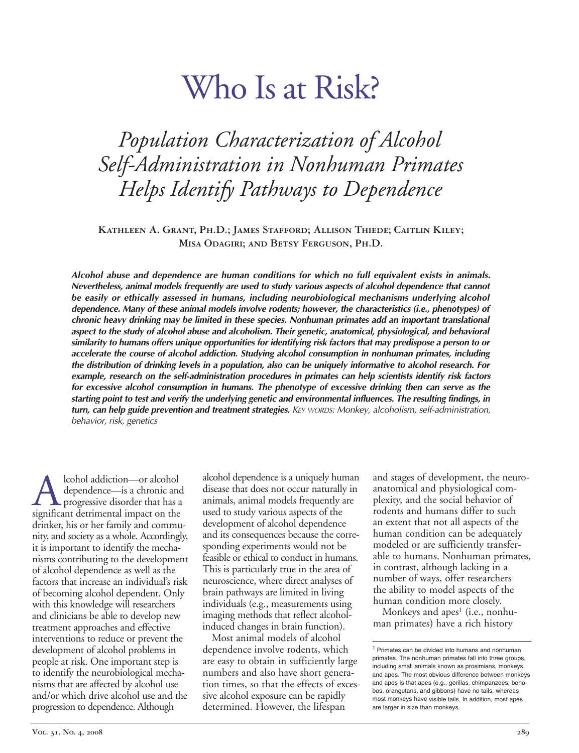# Who Is at Risk?

# *Population Characterization of Alcohol SelfAdministration in Nonhuman Primates Helps Identify Pathways to Dependence*

**Kathleen A. Grant, Ph.D.; James Stafford; Allison Thiede; Caitlin Kiley; Misa Odagiri; and Betsy Ferguson, Ph.D.**

*Alcohol abuse and dependence are human conditions for which no full equivalent exists in animals. Nevertheless, animal models frequently are used to study various aspects of alcohol dependence that cannot be easily or ethically assessed in humans, including neurobiological mechanisms underlying alcohol dependence. Many of these animal models involve rodents; however, the characteristics (i.e., phenotypes) of chronic heavy drinking may be limited in these species. Nonhuman primates add an important translational aspect to the study of alcohol abuse and alcoholism. Their genetic, anatomical, physiological, and behavioral* similarity to humans offers unique opportunities for identifying risk factors that may predispose a person to or *accelerate the course of alcohol addiction. Studying alcohol consumption in nonhuman primates, including* the distribution of drinking levels in a population, also can be uniquely informative to alcohol research. For *example, research on the selfadministration procedures in primates can help scientists identify risk factors for excessive alcohol consumption in humans. The phenotype of excessive drinking then can serve as the* starting point to test and verify the underlying genetic and environmental influences. The resulting findings, in *turn, can help guide prevention and treatment strategies. KEY WORDS: Monkey, alcoholism, selfadministration, behavior, risk, genetics*

Alcohol addiction—or alcohol<br>dependence—is a chronic and<br>significant detrimental impact on the dependence—is a chronic and progressive disorder that has a drinker, his or her family and community, and society as a whole. Accordingly, it is important to identify the mechanisms contributing to the development of alcohol dependence as well as the factors that increase an individual's risk of becoming alcohol dependent. Only with this knowledge will researchers and clinicians be able to develop new treatment approaches and effective interventions to reduce or prevent the development of alcohol problems in people at risk. One important step is to identify the neurobiological mechanisms that are affected by alcohol use and/or which drive alcohol use and the progression to dependence. Although

alcohol dependence is a uniquely human disease that does not occur naturally in animals, animal models frequently are used to study various aspects of the development of alcohol dependence and its consequences because the corresponding experiments would not be feasible or ethical to conduct in humans. This is particularly true in the area of neuroscience, where direct analyses of brain pathways are limited in living individuals (e.g., measurements using imaging methods that reflect alcoholinduced changes in brain function).

Most animal models of alcohol dependence involve rodents, which are easy to obtain in sufficiently large numbers and also have short generation times, so that the effects of excessive alcohol exposure can be rapidly determined. However, the lifespan

and stages of development, the neuroanatomical and physiological complexity, and the social behavior of rodents and humans differ to such an extent that not all aspects of the human condition can be adequately modeled or are sufficiently transferable to humans. Nonhuman primates, in contrast, although lacking in a number of ways, offer researchers the ability to model aspects of the human condition more closely.

Monkeys and apes<sup>1</sup> (i.e., nonhuman primates) have a rich history

<sup>1</sup> Primates can be divided into humans and nonhuman primates. The nonhuman primates fall into three groups, including small animals known as prosimians, monkeys, and apes. The most obvious difference between monkeys and apes is that apes (e.g., gorillas, chimpanzees, bonobos, orangutans, and gibbons) have no tails, whereas most monkeys have visible tails. In addition, most apes are larger in size than monkeys.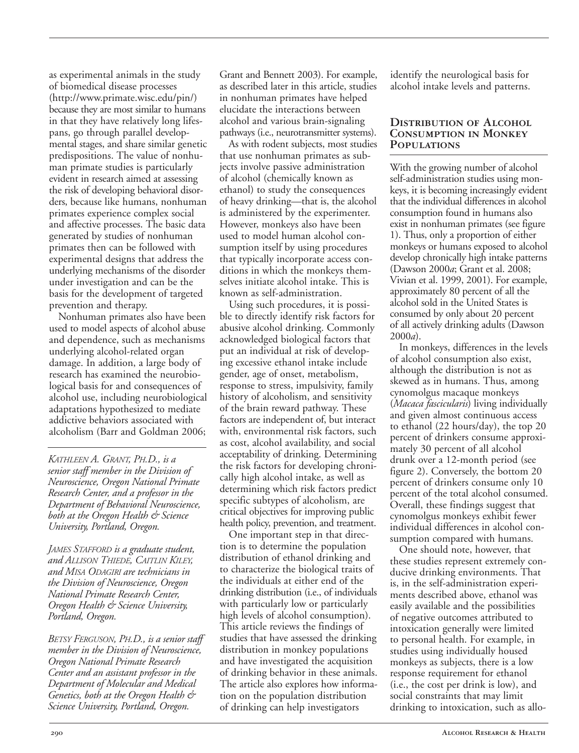as experimental animals in the study of biomedical disease processes (http://www.primate.wisc.edu/pin/) because they are most similar to humans in that they have relatively long lifespans, go through parallel developmental stages, and share similar genetic predispositions. The value of nonhuman primate studies is particularly evident in research aimed at assessing the risk of developing behavioral disorders, because like humans, nonhuman primates experience complex social and affective processes. The basic data generated by studies of nonhuman primates then can be followed with experimental designs that address the underlying mechanisms of the disorder under investigation and can be the basis for the development of targeted prevention and therapy.

Nonhuman primates also have been used to model aspects of alcohol abuse and dependence, such as mechanisms underlying alcohol-related organ damage. In addition, a large body of research has examined the neurobiological basis for and consequences of alcohol use, including neurobiological adaptations hypothesized to mediate addictive behaviors associated with alcoholism (Barr and Goldman 2006;

*KATHLEEN A. GRANT, PH.D., is a senior staff member in the Division of Neuroscience, Oregon National Primate Research Center, and a professor in the Department of Behavioral Neuroscience, both at the Oregon Health & Science University, Portland, Oregon.*

*JAMES STAFFORD is a graduate student, and ALLISON THIEDE, CAITLIN KILEY, and MISA ODAGIRI are technicians in the Division of Neuroscience, Oregon National Primate Research Center, Oregon Health & Science University, Portland, Oregon.*

*BETSY FERGUSON, PH.D., is a senior staff member in the Division of Neuroscience, Oregon National Primate Research Center and an assistant professor in the Department of Molecular and Medical Genetics, both at the Oregon Health & Science University, Portland, Oregon.*

Grant and Bennett 2003). For example, as described later in this article, studies in nonhuman primates have helped elucidate the interactions between alcohol and various brain-signaling pathways (i.e., neurotransmitter systems).

As with rodent subjects, most studies that use nonhuman primates as subjects involve passive administration of alcohol (chemically known as ethanol) to study the consequences of heavy drinking—that is, the alcohol is administered by the experimenter. However, monkeys also have been used to model human alcohol consumption itself by using procedures that typically incorporate access conditions in which the monkeys themselves initiate alcohol intake. This is known as self-administration.

Using such procedures, it is possible to directly identify risk factors for abusive alcohol drinking. Commonly acknowledged biological factors that put an individual at risk of developing excessive ethanol intake include gender, age of onset, metabolism, response to stress, impulsivity, family history of alcoholism, and sensitivity of the brain reward pathway. These factors are independent of, but interact with, environmental risk factors, such as cost, alcohol availability, and social acceptability of drinking. Determining the risk factors for developing chronically high alcohol intake, as well as determining which risk factors predict specific subtypes of alcoholism, are critical objectives for improving public health policy, prevention, and treatment.

One important step in that direction is to determine the population distribution of ethanol drinking and to characterize the biological traits of the individuals at either end of the drinking distribution (i.e., of individuals with particularly low or particularly high levels of alcohol consumption). This article reviews the findings of studies that have assessed the drinking distribution in monkey populations and have investigated the acquisition of drinking behavior in these animals. The article also explores how information on the population distribution of drinking can help investigators

identify the neurological basis for alcohol intake levels and patterns.

#### **Distribution of Alcohol Consumption in Monkey Populations**

With the growing number of alcohol self-administration studies using monkeys, it is becoming increasingly evident that the individual differences in alcohol consumption found in humans also exist in nonhuman primates (see figure 1). Thus, only a proportion of either monkeys or humans exposed to alcohol develop chronically high intake patterns (Dawson 2000*a*; Grant et al. 2008; Vivian et al. 1999, 2001). For example, approximately 80 percent of all the alcohol sold in the United States is consumed by only about 20 percent of all actively drinking adults (Dawson 2000*a*).

In monkeys, differences in the levels of alcohol consumption also exist, although the distribution is not as skewed as in humans. Thus, among cynomolgus macaque monkeys (*Macaca fascicularis*) living individually and given almost continuous access to ethanol (22 hours/day), the top 20 percent of drinkers consume approximately 30 percent of all alcohol drunk over a 12-month period (see figure 2). Conversely, the bottom 20 percent of drinkers consume only 10 percent of the total alcohol consumed. Overall, these findings suggest that cynomolgus monkeys exhibit fewer individual differences in alcohol consumption compared with humans.

One should note, however, that these studies represent extremely conducive drinking environments. That is, in the self-administration experiments described above, ethanol was easily available and the possibilities of negative outcomes attributed to intoxication generally were limited to personal health. For example, in studies using individually housed monkeys as subjects, there is a low response requirement for ethanol (i.e., the cost per drink is low), and social constraints that may limit drinking to intoxication, such as allo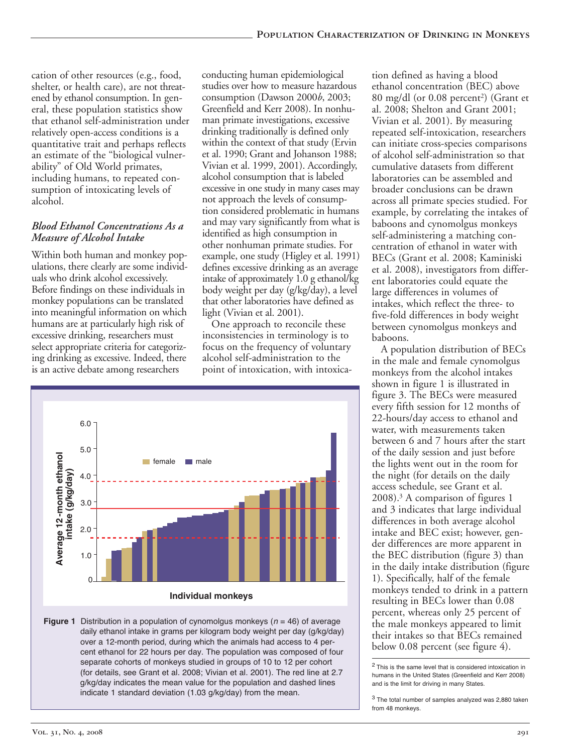cation of other resources (e.g., food, shelter, or health care), are not threatened by ethanol consumption. In general, these population statistics show that ethanol self-administration under relatively open-access conditions is a quantitative trait and perhaps reflects an estimate of the "biological vulnerability" of Old World primates, including humans, to repeated consumption of intoxicating levels of alcohol.

# *Blood Ethanol Concentrations As a Measure of Alcohol Intake*

Within both human and monkey populations, there clearly are some individuals who drink alcohol excessively. Before findings on these individuals in monkey populations can be translated into meaningful information on which humans are at particularly high risk of excessive drinking, researchers must select appropriate criteria for categorizing drinking as excessive. Indeed, there is an active debate among researchers

conducting human epidemiological studies over how to measure hazardous consumption (Dawson 2000*b*, 2003; Greenfield and Kerr 2008). In nonhuman primate investigations, excessive drinking traditionally is defined only within the context of that study (Ervin et al. 1990; Grant and Johanson 1988; Vivian et al. 1999, 2001). Accordingly, alcohol consumption that is labeled excessive in one study in many cases may not approach the levels of consumption considered problematic in humans and may vary significantly from what is identified as high consumption in other nonhuman primate studies. For example, one study (Higley et al. 1991) defines excessive drinking as an average intake of approximately 1.0 g ethanol/kg body weight per day (g/kg/day), a level that other laboratories have defined as light (Vivian et al. 2001).

One approach to reconcile these inconsistencies in terminology is to focus on the frequency of voluntary alcohol self-administration to the point of intoxication, with intoxica-



**Figure 1** Distribution in a population of cynomolgus monkeys (*n* = 46) of average daily ethanol intake in grams per kilogram body weight per day (g/kg/day) over a 12-month period, during which the animals had access to 4 percent ethanol for 22 hours per day. The population was composed of four separate cohorts of monkeys studied in groups of 10 to 12 per cohort (for details, see Grant et al. 2008; Vivian et al. 2001). The red line at 2.7 g/kg/day indicates the mean value for the population and dashed lines indicate 1 standard deviation (1.03 g/kg/day) from the mean.

tion defined as having a blood ethanol concentration (BEC) above 80 mg/dl (or 0.08 percent<sup>2</sup>) (Grant et al. 2008; Shelton and Grant 2001; Vivian et al. 2001). By measuring repeated self-intoxication, researchers can initiate cross-species comparisons of alcohol self-administration so that cumulative datasets from different laboratories can be assembled and broader conclusions can be drawn across all primate species studied. For example, by correlating the intakes of baboons and cynomolgus monkeys self-administering a matching concentration of ethanol in water with BECs (Grant et al. 2008; Kaminiski et al. 2008), investigators from different laboratories could equate the large differences in volumes of intakes, which reflect the three-to five-fold differences in body weight between cynomolgus monkeys and baboons.

A population distribution of BECs in the male and female cynomolgus monkeys from the alcohol intakes shown in figure 1 is illustrated in figure 3. The BECs were measured every fifth session for 12 months of 22hours/day access to ethanol and water, with measurements taken between 6 and 7 hours after the start of the daily session and just before the lights went out in the room for the night (for details on the daily access schedule, see Grant et al. 2008).3 A comparison of figures 1 and 3 indicates that large individual differences in both average alcohol intake and BEC exist; however, gender differences are more apparent in the BEC distribution (figure 3) than in the daily intake distribution (figure 1). Specifically, half of the female monkeys tended to drink in a pattern resulting in BECs lower than 0.08 percent, whereas only 25 percent of the male monkeys appeared to limit their intakes so that BECs remained below 0.08 percent (see figure 4).

<sup>2</sup> This is the same level that is considered intoxication in humans in the United States (Greenfield and Kerr 2008) and is the limit for driving in many States.

<sup>3</sup> The total number of samples analyzed was 2,880 taken from 48 monkeys.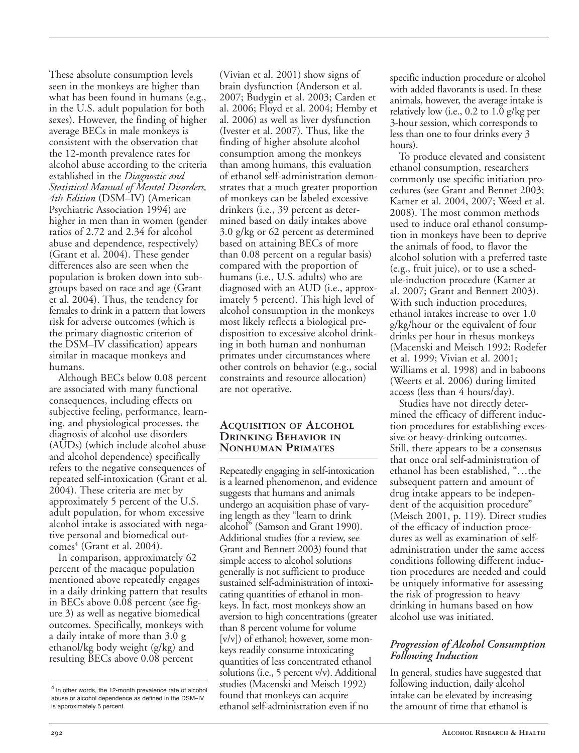These absolute consumption levels seen in the monkeys are higher than what has been found in humans (e.g., in the U.S. adult population for both sexes). However, the finding of higher average BECs in male monkeys is consistent with the observation that the 12-month prevalence rates for alcohol abuse according to the criteria established in the *Diagnostic and Statistical Manual of Mental Disorders, 4th Edition* (DSM–IV) (American Psychiatric Association 1994) are higher in men than in women (gender ratios of 2.72 and 2.34 for alcohol abuse and dependence, respectively) (Grant et al. 2004). These gender differences also are seen when the population is broken down into subgroups based on race and age (Grant et al. 2004). Thus, the tendency for females to drink in a pattern that lowers risk for adverse outcomes (which is the primary diagnostic criterion of the DSM–IV classification) appears similar in macaque monkeys and humans.

Although BECs below 0.08 percent are associated with many functional consequences, including effects on subjective feeling, performance, learning, and physiological processes, the diagnosis of alcohol use disorders (AUDs) (which include alcohol abuse and alcohol dependence) specifically refers to the negative consequences of repeated self-intoxication (Grant et al. 2004). These criteria are met by approximately 5 percent of the U.S. adult population, for whom excessive alcohol intake is associated with negative personal and biomedical out $comes<sup>4</sup>$  (Grant et al. 2004).

In comparison, approximately 62 percent of the macaque population mentioned above repeatedly engages in a daily drinking pattern that results in BECs above 0.08 percent (see figure 3) as well as negative biomedical outcomes. Specifically, monkeys with a daily intake of more than 3.0 g ethanol/kg body weight (g/kg) and resulting BECs above 0.08 percent

(Vivian et al. 2001) show signs of brain dysfunction (Anderson et al. 2007; Budygin et al. 2003; Carden et al. 2006; Floyd et al. 2004; Hemby et al. 2006) as well as liver dysfunction (Ivester et al. 2007). Thus, like the finding of higher absolute alcohol consumption among the monkeys than among humans, this evaluation of ethanol self-administration demonstrates that a much greater proportion of monkeys can be labeled excessive drinkers (i.e., 39 percent as determined based on daily intakes above 3.0 g/kg or 62 percent as determined based on attaining BECs of more than 0.08 percent on a regular basis) compared with the proportion of humans (i.e., U.S. adults) who are diagnosed with an AUD (i.e., approximately 5 percent). This high level of alcohol consumption in the monkeys most likely reflects a biological predisposition to excessive alcohol drinking in both human and nonhuman primates under circumstances where other controls on behavior (e.g., social constraints and resource allocation) are not operative.

#### **Acquisition of Alcohol Drinking Behavior in Nonhuman Primates**

Repeatedly engaging in self-intoxication is a learned phenomenon, and evidence suggests that humans and animals undergo an acquisition phase of varying length as they "learn to drink alcohol" (Samson and Grant 1990). Additional studies (for a review, see Grant and Bennett 2003) found that simple access to alcohol solutions generally is not sufficient to produce sustained self-administration of intoxicating quantities of ethanol in monkeys. In fact, most monkeys show an aversion to high concentrations (greater than 8 percent volume for volume [v/v]) of ethanol; however, some monkeys readily consume intoxicating quantities of less concentrated ethanol solutions (i.e., 5 percent v/v). Additional studies (Macenski and Meisch 1992) found that monkeys can acquire ethanol self-administration even if no

specific induction procedure or alcohol with added flavorants is used. In these animals, however, the average intake is relatively low (i.e., 0.2 to 1.0 g/kg per 3-hour session, which corresponds to less than one to four drinks every 3 hours).

To produce elevated and consistent ethanol consumption, researchers commonly use specific initiation procedures (see Grant and Bennet 2003; Katner et al. 2004, 2007; Weed et al. 2008). The most common methods used to induce oral ethanol consumption in monkeys have been to deprive the animals of food, to flavor the alcohol solution with a preferred taste (e.g., fruit juice), or to use a schedule-induction procedure (Katner at al. 2007; Grant and Bennett 2003). With such induction procedures, ethanol intakes increase to over 1.0 g/kg/hour or the equivalent of four drinks per hour in rhesus monkeys (Macenski and Meisch 1992; Rodefer et al. 1999; Vivian et al. 2001; Williams et al. 1998) and in baboons (Weerts et al. 2006) during limited access (less than 4 hours/day).

Studies have not directly determined the efficacy of different induction procedures for establishing excessive or heavy-drinking outcomes. Still, there appears to be a consensus that once oral self-administration of ethanol has been established, "…the subsequent pattern and amount of drug intake appears to be independent of the acquisition procedure" (Meisch 2001, p. 119). Direct studies of the efficacy of induction procedures as well as examination of selfadministration under the same access conditions following different induction procedures are needed and could be uniquely informative for assessing the risk of progression to heavy drinking in humans based on how alcohol use was initiated.

### *Progression of Alcohol Consumption Following Induction*

In general, studies have suggested that following induction, daily alcohol intake can be elevated by increasing the amount of time that ethanol is

<sup>&</sup>lt;sup>4</sup> In other words, the 12-month prevalence rate of alcohol abuse or alcohol dependence as defined in the DSM–IV is approximately 5 percent.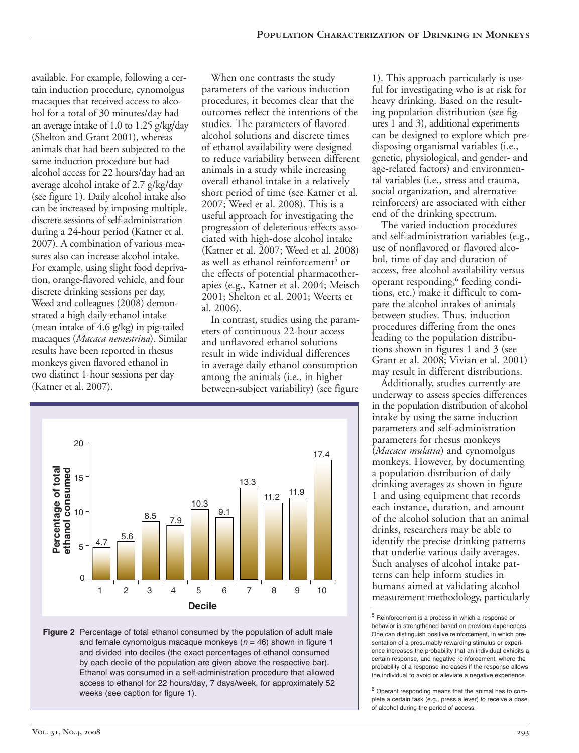available. For example, following a certain induction procedure, cynomolgus macaques that received access to alcohol for a total of 30 minutes/day had an average intake of 1.0 to 1.25 g/kg/day (Shelton and Grant 2001), whereas animals that had been subjected to the same induction procedure but had alcohol access for 22 hours/day had an average alcohol intake of 2.7 g/kg/day (see figure 1). Daily alcohol intake also can be increased by imposing multiple, discrete sessions of self-administration during a 24-hour period (Katner et al. 2007). A combination of various measures also can increase alcohol intake. For example, using slight food deprivation, orange-flavored vehicle, and four discrete drinking sessions per day, Weed and colleagues (2008) demonstrated a high daily ethanol intake (mean intake of  $4.6$  g/kg) in pig-tailed macaques (*Macaca nemestrina*). Similar results have been reported in rhesus monkeys given flavored ethanol in two distinct 1-hour sessions per day (Katner et al. 2007).

When one contrasts the study parameters of the various induction procedures, it becomes clear that the outcomes reflect the intentions of the studies. The parameters of flavored alcohol solutions and discrete times of ethanol availability were designed to reduce variability between different animals in a study while increasing overall ethanol intake in a relatively short period of time (see Katner et al. 2007; Weed et al. 2008). This is a useful approach for investigating the progression of deleterious effects associated with high-dose alcohol intake (Katner et al. 2007; Weed et al. 2008) as well as ethanol reinforcement<sup>5</sup> or the effects of potential pharmacotherapies (e.g., Katner et al. 2004; Meisch 2001; Shelton et al. 2001; Weerts et al. 2006).

In contrast, studies using the parameters of continuous 22hour access and unflavored ethanol solutions result in wide individual differences in average daily ethanol consumption among the animals (i.e., in higher between-subject variability) (see figure



**Figure 2** Percentage of total ethanol consumed by the population of adult male and female cynomolgus macaque monkeys (*n* = 46) shown in figure 1 and divided into deciles (the exact percentages of ethanol consumed by each decile of the population are given above the respective bar). Ethanol was consumed in a self-administration procedure that allowed access to ethanol for 22 hours/day, 7 days/week, for approximately 52 weeks (see caption for figure 1).

1). This approach particularly is useful for investigating who is at risk for heavy drinking. Based on the resulting population distribution (see figures 1 and 3), additional experiments can be designed to explore which predisposing organismal variables (i.e., genetic, physiological, and gender- and age-related factors) and environmental variables (i.e., stress and trauma, social organization, and alternative reinforcers) are associated with either end of the drinking spectrum.

The varied induction procedures and self-administration variables (e.g., use of nonflavored or flavored alcohol, time of day and duration of access, free alcohol availability versus operant responding,<sup>6</sup> feeding conditions, etc.) make it difficult to compare the alcohol intakes of animals between studies. Thus, induction procedures differing from the ones leading to the population distributions shown in figures 1 and 3 (see Grant et al. 2008; Vivian et al. 2001) may result in different distributions.

Additionally, studies currently are underway to assess species differences in the population distribution of alcohol intake by using the same induction parameters and self-administration parameters for rhesus monkeys (*Macaca mulatta*) and cynomolgus monkeys. However, by documenting a population distribution of daily drinking averages as shown in figure 1 and using equipment that records each instance, duration, and amount of the alcohol solution that an animal drinks, researchers may be able to identify the precise drinking patterns that underlie various daily averages. Such analyses of alcohol intake patterns can help inform studies in humans aimed at validating alcohol measurement methodology, particularly

<sup>5</sup> Reinforcement is a process in which a response or behavior is strengthened based on previous experiences. One can distinguish positive reinforcement, in which presentation of a presumably rewarding stimulus or experience increases the probability that an individual exhibits a certain response, and negative reinforcement, where the probability of a response increases if the response allows the individual to avoid or alleviate a negative experience.

<sup>6</sup> Operant responding means that the animal has to complete a certain task (e.g., press a lever) to receive a dose of alcohol during the period of access.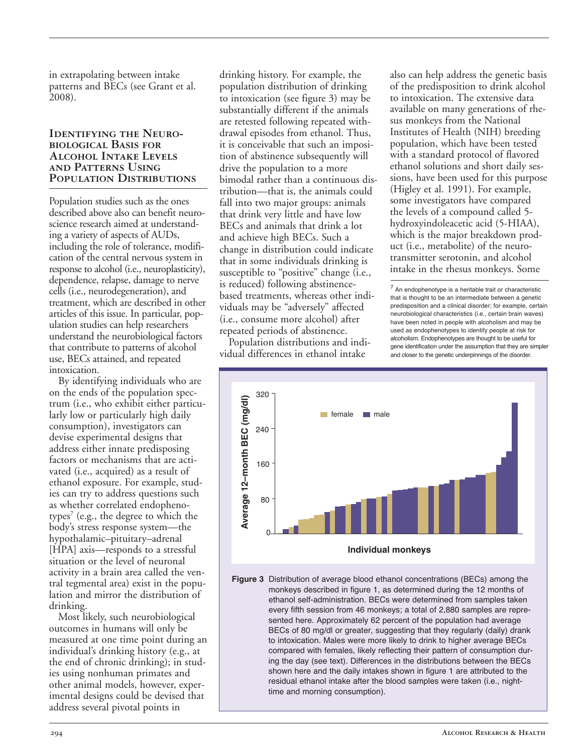in extrapolating between intake patterns and BECs (see Grant et al. 2008).

#### **Identifying the Neurobiological Basis for Alcohol Intake Levels and Patterns Using Population Distributions**

Population studies such as the ones described above also can benefit neuroscience research aimed at understanding a variety of aspects of AUDs, including the role of tolerance, modification of the central nervous system in response to alcohol (i.e., neuroplasticity), dependence, relapse, damage to nerve cells (i.e., neurodegeneration), and treatment, which are described in other articles of this issue. In particular, population studies can help researchers understand the neurobiological factors that contribute to patterns of alcohol use, BECs attained, and repeated intoxication.

By identifying individuals who are on the ends of the population spectrum (i.e., who exhibit either particularly low or particularly high daily consumption), investigators can devise experimental designs that address either innate predisposing factors or mechanisms that are activated (i.e., acquired) as a result of ethanol exposure. For example, studies can try to address questions such as whether correlated endophenotypes<sup>7</sup> (e.g., the degree to which the body's stress response system—the hypothalamic–pituitary–adrenal [HPA] axis—responds to a stressful situation or the level of neuronal activity in a brain area called the ventral tegmental area) exist in the population and mirror the distribution of drinking.

Most likely, such neurobiological outcomes in humans will only be measured at one time point during an individual's drinking history (e.g., at the end of chronic drinking); in studies using nonhuman primates and other animal models, however, experimental designs could be devised that address several pivotal points in

drinking history. For example, the population distribution of drinking to intoxication (see figure 3) may be substantially different if the animals are retested following repeated withdrawal episodes from ethanol. Thus, it is conceivable that such an imposition of abstinence subsequently will drive the population to a more bimodal rather than a continuous distribution—that is, the animals could fall into two major groups: animals that drink very little and have low BECs and animals that drink a lot and achieve high BECs. Such a change in distribution could indicate that in some individuals drinking is susceptible to "positive" change (i.e., is reduced) following abstinencebased treatments, whereas other individuals may be "adversely" affected (i.e., consume more alcohol) after repeated periods of abstinence.

Population distributions and individual differences in ethanol intake

also can help address the genetic basis of the predisposition to drink alcohol to intoxication. The extensive data available on many generations of rhesus monkeys from the National Institutes of Health (NIH) breeding population, which have been tested with a standard protocol of flavored ethanol solutions and short daily sessions, have been used for this purpose (Higley et al. 1991). For example, some investigators have compared the levels of a compound called 5 hydroxyindoleacetic acid (5-HIAA), which is the major breakdown product (i.e., metabolite) of the neurotransmitter serotonin, and alcohol intake in the rhesus monkeys. Some

 $<sup>7</sup>$  An endophenotype is a heritable trait or characteristic</sup> that is thought to be an intermediate between a genetic predisposition and a clinical disorder; for example, certain neurobiological characteristics (i.e., certain brain waves) have been noted in people with alcoholism and may be used as endophenotypes to identify people at risk for alcoholism. Endophenotypes are thought to be useful for gene identification under the assumption that they are simpler and closer to the genetic underpinnings of the disorder.



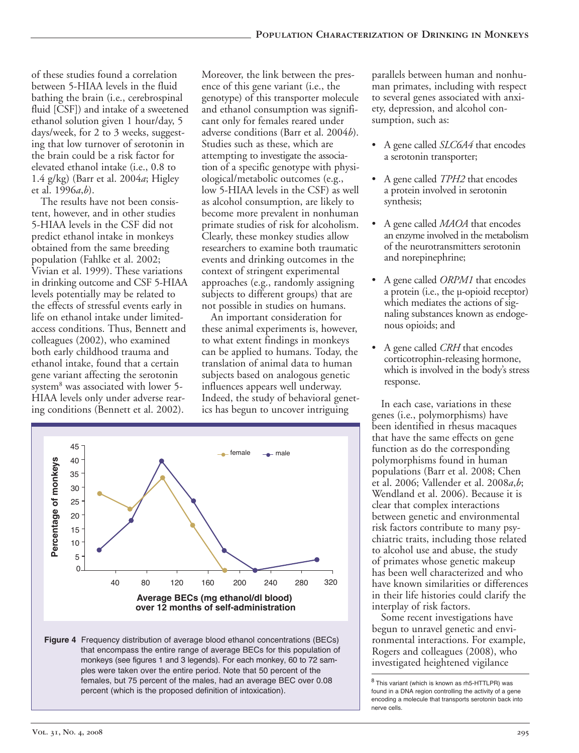of these studies found a correlation between 5-HIAA levels in the fluid bathing the brain (i.e., cerebrospinal fluid [CSF]) and intake of a sweetened ethanol solution given 1 hour/day, 5 days/week, for 2 to 3 weeks, suggesting that low turnover of serotonin in the brain could be a risk factor for elevated ethanol intake (i.e., 0.8 to 1.4 g/kg) (Barr et al. 2004*a*; Higley et al. 1996*a*,*b*).

The results have not been consistent, however, and in other studies 5HIAA levels in the CSF did not predict ethanol intake in monkeys obtained from the same breeding population (Fahlke et al. 2002; Vivian et al. 1999). These variations in drinking outcome and CSF 5-HIAA levels potentially may be related to the effects of stressful events early in life on ethanol intake under limitedaccess conditions. Thus, Bennett and colleagues (2002), who examined both early childhood trauma and ethanol intake, found that a certain gene variant affecting the serotonin system<sup>8</sup> was associated with lower 5-HIAA levels only under adverse rearing conditions (Bennett et al. 2002).

Moreover, the link between the presence of this gene variant (i.e., the genotype) of this transporter molecule and ethanol consumption was significant only for females reared under adverse conditions (Barr et al. 2004*b*). Studies such as these, which are attempting to investigate the association of a specific genotype with physiological/metabolic outcomes (e.g., low 5-HIAA levels in the CSF) as well as alcohol consumption, are likely to become more prevalent in nonhuman primate studies of risk for alcoholism. Clearly, these monkey studies allow researchers to examine both traumatic events and drinking outcomes in the context of stringent experimental approaches (e.g., randomly assigning subjects to different groups) that are not possible in studies on humans.

An important consideration for these animal experiments is, however, to what extent findings in monkeys can be applied to humans. Today, the translation of animal data to human subjects based on analogous genetic influences appears well underway. Indeed, the study of behavioral genetics has begun to uncover intriguing



**Figure 4** Frequency distribution of average blood ethanol concentrations (BECs) that encompass the entire range of average BECs for this population of monkeys (see figures 1 and 3 legends). For each monkey, 60 to 72 samples were taken over the entire period. Note that 50 percent of the females, but 75 percent of the males, had an average BEC over 0.08 percent (which is the proposed definition of intoxication).

parallels between human and nonhuman primates, including with respect to several genes associated with anxiety, depression, and alcohol consumption, such as:

- • A gene called *SLC6A4* that encodes a serotonin transporter;
- • A gene called *TPH2* that encodes a protein involved in serotonin synthesis;
- A gene called *MAOA* that encodes an enzyme involved in the metabolism of the neurotransmitters serotonin and norepinephrine;
- A gene called *ORPM1* that encodes a protein (i.e., the  $\mu$ -opioid receptor) which mediates the actions of signaling substances known as endogenous opioids; and
- A gene called *CRH* that encodes corticotrophin-releasing hormone, which is involved in the body's stress response.

In each case, variations in these genes (i.e., polymorphisms) have been identified in rhesus macaques that have the same effects on gene function as do the corresponding polymorphisms found in human populations (Barr et al. 2008; Chen et al. 2006; Vallender et al. 2008*a*,*b*; Wendland et al. 2006). Because it is clear that complex interactions between genetic and environmental risk factors contribute to many psychiatric traits, including those related to alcohol use and abuse, the study of primates whose genetic makeup has been well characterized and who have known similarities or differences in their life histories could clarify the interplay of risk factors.

Some recent investigations have begun to unravel genetic and environmental interactions. For example, Rogers and colleagues (2008), who investigated heightened vigilance

 $8$  This variant (which is known as rh5-HTTLPR) was found in a DNA region controlling the activity of a gene encoding a molecule that transports serotonin back into nerve cells.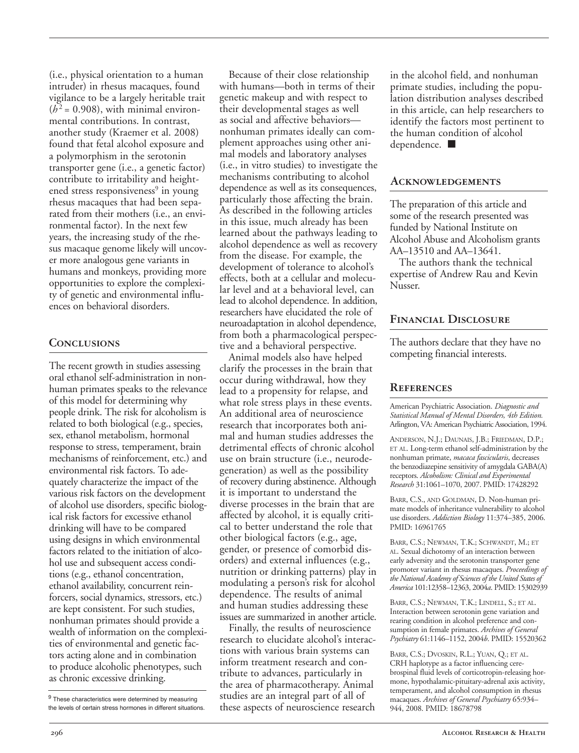(i.e., physical orientation to a human intruder) in rhesus macaques, found vigilance to be a largely heritable trait  $(h^2 = 0.908)$ , with minimal environmental contributions. In contrast, another study (Kraemer et al. 2008) found that fetal alcohol exposure and a polymorphism in the serotonin transporter gene (i.e., a genetic factor) contribute to irritability and heightened stress responsiveness<sup>9</sup> in young rhesus macaques that had been separated from their mothers (i.e., an environmental factor). In the next few years, the increasing study of the rhesus macaque genome likely will uncover more analogous gene variants in humans and monkeys, providing more opportunities to explore the complexity of genetic and environmental influences on behavioral disorders.

# **Conclusions**

The recent growth in studies assessing oral ethanol self-administration in nonhuman primates speaks to the relevance of this model for determining why people drink. The risk for alcoholism is related to both biological (e.g., species, sex, ethanol metabolism, hormonal response to stress, temperament, brain mechanisms of reinforcement, etc.) and environmental risk factors. To adequately characterize the impact of the various risk factors on the development of alcohol use disorders, specific biological risk factors for excessive ethanol drinking will have to be compared using designs in which environmental factors related to the initiation of alcohol use and subsequent access conditions (e.g., ethanol concentration, ethanol availability, concurrent reinforcers, social dynamics, stressors, etc.) are kept consistent. For such studies, nonhuman primates should provide a wealth of information on the complexities of environmental and genetic factors acting alone and in combination to produce alcoholic phenotypes, such as chronic excessive drinking.

Because of their close relationship with humans—both in terms of their genetic makeup and with respect to their developmental stages as well as social and affective behaviors nonhuman primates ideally can complement approaches using other animal models and laboratory analyses (i.e., in vitro studies) to investigate the mechanisms contributing to alcohol dependence as well as its consequences, particularly those affecting the brain. As described in the following articles in this issue, much already has been learned about the pathways leading to alcohol dependence as well as recovery from the disease. For example, the development of tolerance to alcohol's effects, both at a cellular and molecular level and at a behavioral level, can lead to alcohol dependence. In addition, researchers have elucidated the role of neuroadaptation in alcohol dependence, from both a pharmacological perspective and a behavioral perspective.

Animal models also have helped clarify the processes in the brain that occur during withdrawal, how they lead to a propensity for relapse, and what role stress plays in these events. An additional area of neuroscience research that incorporates both animal and human studies addresses the detrimental effects of chronic alcohol use on brain structure (i.e., neurodegeneration) as well as the possibility of recovery during abstinence. Although it is important to understand the diverse processes in the brain that are affected by alcohol, it is equally critical to better understand the role that other biological factors (e.g., age, gender, or presence of comorbid disorders) and external influences (e.g., nutrition or drinking patterns) play in modulating a person's risk for alcohol dependence. The results of animal and human studies addressing these issues are summarized in another article.

Finally, the results of neuroscience research to elucidate alcohol's interactions with various brain systems can inform treatment research and contribute to advances, particularly in the area of pharmacotherapy. Animal studies are an integral part of all of these aspects of neuroscience research in the alcohol field, and nonhuman primate studies, including the population distribution analyses described in this article, can help researchers to identify the factors most pertinent to the human condition of alcohol dependence. ■

## **Acknowledgements**

The preparation of this article and some of the research presented was funded by National Institute on Alcohol Abuse and Alcoholism grants AA–13510 and AA–13641.

The authors thank the technical expertise of Andrew Rau and Kevin Nusser.

# **Financial Disclosure**

The authors declare that they have no competing financial interests.

# **References**

American Psychiatric Association. *Diagnostic and Statistical Manual of Mental Disorders, 4th Edition.* Arlington, VA: American Psychiatric Association, 1994.

ANDERSON, N.J.; DAUNAIS, J.B.; FRIEDMAN, D.P.; ET AL. Long-term ethanol self-administration by the nonhuman primate, *macaca fascicularis*, decreases the benzodiazepine sensitivity of amygdala GABA(A) receptors. *Alcoholism: Clinical and Experimental Research* 31:1061–1070, 2007. PMID: 17428292

BARR, C.S., AND GOLDMAN, D. Non-human primate models of inheritance vulnerability to alcohol use disorders. *Addiction Biology* 11:374–385, 2006. PMID: 16961765

BARR, C.S.; NEWMAN, T.K.; SCHWANDT, M.; ET AL. Sexual dichotomy of an interaction between early adversity and the serotonin transporter gene promoter variant in rhesus macaques. *Proceedings of the National Academy of Sciences of the United States of America* 101:12358–12363, 2004*a*. PMID: 15302939

BARR, C.S.; NEWMAN, T.K.; LINDELL, S.; ET AL. Interaction between serotonin gene variation and rearing condition in alcohol preference and consumption in female primates. *Archives of General Psychiatry* 61:1146–1152, 2004*b*. PMID: 15520362

BARR, C.S.; DVOSKIN, R.L.; YUAN, Q.; ET AL. CRH haplotype as a factor influencing cerebrospinal fluid levels of corticotropin-releasing hormone, hypothalamic-pituitary-adrenal axis activity, temperament, and alcohol consumption in rhesus macaques. *Archives of General Psychiatry* 65:934– 944, 2008. PMID: 18678798

<sup>&</sup>lt;sup>9</sup> These characteristics were determined by measuring the levels of certain stress hormones in different situations.